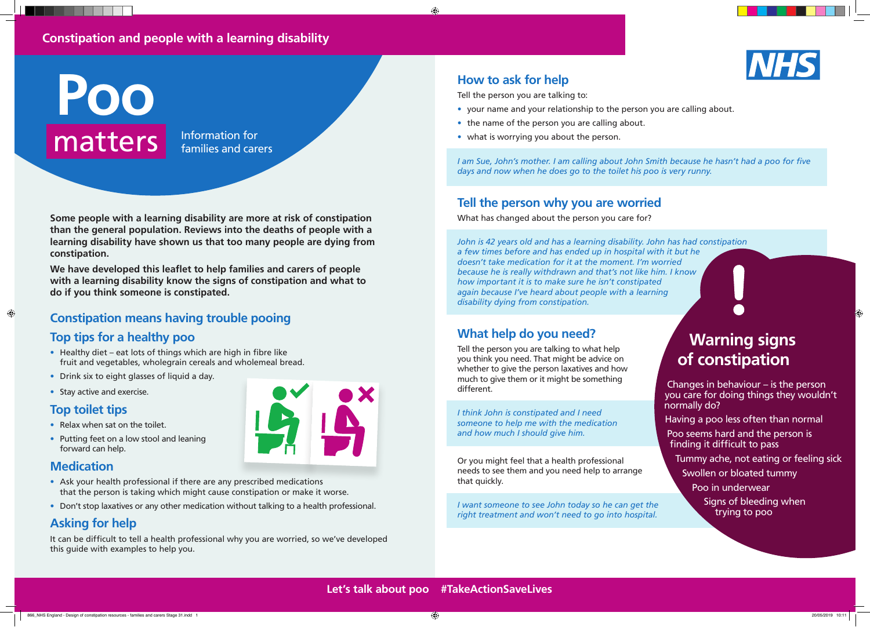# **How to ask for help**

 $\bigoplus$ 

Tell the person you are talking to:

- your name and your relationship to the person you are calling about.
- the name of the person you are calling about.
- what is worrying you about the person.

*I am Sue, John's mother. I am calling about John Smith because he hasn't had a poo for five days and now when he does go to the toilet his poo is very runny.*

# **Tell the person why you are worried**

What has changed about the person you care for?

*John is 42 years old and has a learning disability. John has had constipation a few times before and has ended up in hospital with it but he doesn't take medication for it at the moment. I'm worried because he is really withdrawn and that's not like him. I know how important it is to make sure he isn't constipated again because I've heard about people with a learning disability dying from constipation.*

## **What help do you need?**

Tell the person you are talking to what help you think you need. That might be advice on whether to give the person laxatives and how much to give them or it might be something different.

*I think John is constipated and I need someone to help me with the medication and how much I should give him.*

- Healthy diet eat lots of things which are high in fibre like fruit and vegetables, wholegrain cereals and wholemeal bread.
- Drink six to eight glasses of liquid a day.
- Stay active and exercise.

Or you might feel that a health professional needs to see them and you need help to arrange that quickly.

*I want someone to see John today so he can get the right treatment and won't need to go into hospital.*

# **Warning signs of constipation**

Changes in behaviour – is the person you care for doing things they wouldn't normally do?

Having a poo less often than normal

Poo seems hard and the person is finding it difficult to pass

Tummy ache, not eating or feeling sick Swollen or bloated tummy

> Poo in underwear Signs of bleeding when trying to poo

 $\bigcirc$ 



Information for families and carers

**Some people with a learning disability are more at risk of constipation than the general population. Reviews into the deaths of people with a learning disability have shown us that too many people are dying from constipation.** 

**We have developed this leaflet to help families and carers of people with a learning disability know the signs of constipation and what to do if you think someone is constipated.**

# **Constipation means having trouble pooing**

### **Top tips for a healthy poo**

### **Top toilet tips**

 $\bigcirc$ 

- Relax when sat on the toilet.
- Putting feet on a low stool and leaning forward can help.

### **Medication**

- Ask your health professional if there are any prescribed medications that the person is taking which might cause constipation or make it worse.
- Don't stop laxatives or any other medication without talking to a health professional.

## **Asking for help**

It can be difficult to tell a health professional why you are worried, so we've developed this guide with examples to help you.

# **Constipation and people with a learning disability**

# **Poo** matters